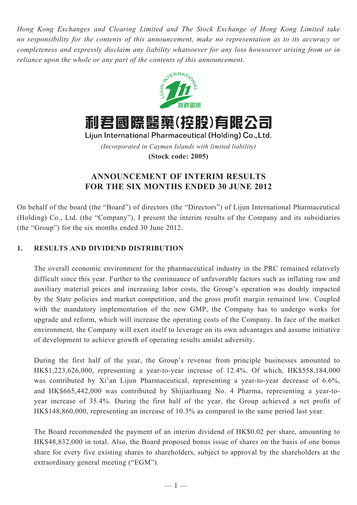*Hong Kong Exchanges and Clearing Limited and The Stock Exchange of Hong Kong Limited take no responsibility for the contents of this announcement, make no representation as to its accuracy or completeness and expressly disclaim any liability whatsoever for any loss howsoever arising from or in reliance upon the whole or any part of the contents of this announcement.*



Lijun International Pharmaceutical (Holding) Co., Ltd. *(Incorporated in Cayman Islands with limited liability)* **(Stock code: 2005)**

# **ANNOUNCEMENT OF INTERIM RESULTS FOR THE SIX MONTHS ENDED 30 JUNE 2012**

On behalf of the board (the "Board") of directors (the "Directors") of Lijun International Pharmaceutical (Holding) Co., Ltd. (the "Company"), I present the interim results of the Company and its subsidiaries (the "Group") for the six months ended 30 June 2012.

# **1. RESULTS AND DIVIDEND DISTRIBUTION**

The overall economic environment for the pharmaceutical industry in the PRC remained relatively difficult since this year. Further to the continuance of unfavorable factors such as inflating raw and auxiliary material prices and increasing labor costs, the Group's operation was doubly impacted by the State policies and market competition, and the gross profit margin remained low. Coupled with the mandatory implementation of the new GMP, the Company has to undergo works for upgrade and reform, which will increase the operating costs of the Company. In face of the market environment, the Company will exert itself to leverage on its own advantages and assume initiative of development to achieve growth of operating results amidst adversity.

During the first half of the year, the Group's revenue from principle businesses amounted to HK\$1,223,626,000, representing a year-to-year increase of 12.4%. Of which, HK\$558,184,000 was contributed by Xi'an Lijun Pharmaceutical, representing a year-to-year decrease of 6.6%, and HK\$665,442,000 was contributed by Shijiazhuang No. 4 Pharma, representing a year-toyear increase of 35.4%. During the first half of the year, the Group achieved a net profit of HK\$148,860,000, representing an increase of 10.3% as compared to the same period last year.

The Board recommended the payment of an interim dividend of HK\$0.02 per share, amounting to HK\$48,832,000 in total. Also, the Board proposed bonus issue of shares on the basis of one bonus share for every five existing shares to shareholders, subject to approval by the shareholders at the extraordinary general meeting ("EGM").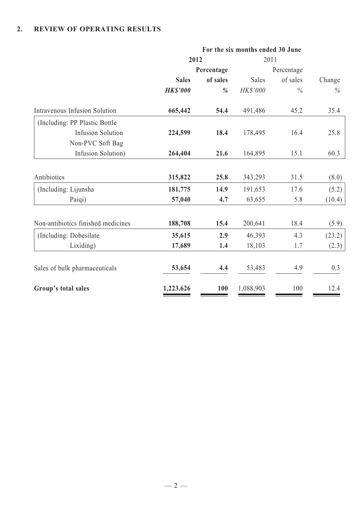# **2. REVIEW OF OPERATING RESULTS**

|                                    | For the six months ended 30 June |            |           |            |        |  |
|------------------------------------|----------------------------------|------------|-----------|------------|--------|--|
|                                    | 2012                             |            | 2011      |            |        |  |
|                                    |                                  | Percentage |           | Percentage |        |  |
|                                    | <b>Sales</b>                     | of sales   | Sales     | of sales   | Change |  |
|                                    | <b>HK\$'000</b>                  | %          | HK\$'000  | $\%$       | $\%$   |  |
| Intravenous Infusion Solution      | 665,442                          | 54.4       | 491,486   | 45.2       | 35.4   |  |
| (Including: PP Plastic Bottle)     |                                  |            |           |            |        |  |
| <b>Infusion Solution</b>           | 224,599                          | 18.4       | 178,495   | 16.4       | 25.8   |  |
| Non-PVC Soft Bag                   |                                  |            |           |            |        |  |
| Infusion Solution)                 | 264,404                          | 21.6       | 164,895   | 15.1       | 60.3   |  |
|                                    |                                  |            |           |            |        |  |
| Antibiotics                        | 315,822                          | 25.8       | 343,293   | 31.5       | (8.0)  |  |
| (Including: Lijunsha               | 181,775                          | 14.9       | 191,653   | 17.6       | (5.2)  |  |
| Paiqi)                             | 57,040                           | 4.7        | 63,655    | 5.8        | (10.4) |  |
|                                    |                                  |            |           |            |        |  |
| Non-antibiotics finished medicines | 188,708                          | 15.4       | 200,641   | 18.4       | (5.9)  |  |
| (Including: Dobesilate)            | 35,615                           | 2.9        | 46,393    | 4.3        | (23.2) |  |
| Lixiding)                          | 17,689                           | 1.4        | 18,103    | 1.7        | (2.3)  |  |
| Sales of bulk pharmaceuticals      | 53,654                           | 4.4        | 53,483    | 4.9        | 0.3    |  |
| Group's total sales                | 1,223,626                        | 100        | 1,088,903 | 100        | 12.4   |  |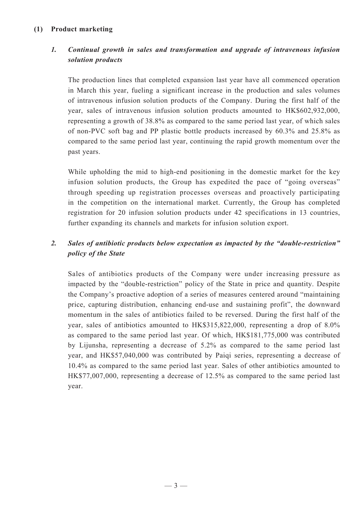## **(1) Product marketing**

# *1. Continual growth in sales and transformation and upgrade of intravenous infusion solution products*

The production lines that completed expansion last year have all commenced operation in March this year, fueling a significant increase in the production and sales volumes of intravenous infusion solution products of the Company. During the first half of the year, sales of intravenous infusion solution products amounted to HK\$602,932,000, representing a growth of 38.8% as compared to the same period last year, of which sales of non-PVC soft bag and PP plastic bottle products increased by 60.3% and 25.8% as compared to the same period last year, continuing the rapid growth momentum over the past years.

While upholding the mid to high-end positioning in the domestic market for the key infusion solution products, the Group has expedited the pace of "going overseas" through speeding up registration processes overseas and proactively participating in the competition on the international market. Currently, the Group has completed registration for 20 infusion solution products under 42 specifications in 13 countries, further expanding its channels and markets for infusion solution export.

# *2. Sales of antibiotic products below expectation as impacted by the "double-restriction" policy of the State*

Sales of antibiotics products of the Company were under increasing pressure as impacted by the "double-restriction" policy of the State in price and quantity. Despite the Company's proactive adoption of a series of measures centered around "maintaining price, capturing distribution, enhancing end-use and sustaining profit", the downward momentum in the sales of antibiotics failed to be reversed. During the first half of the year, sales of antibiotics amounted to HK\$315,822,000, representing a drop of 8.0% as compared to the same period last year. Of which, HK\$181,775,000 was contributed by Lijunsha, representing a decrease of 5.2% as compared to the same period last year, and HK\$57,040,000 was contributed by Paiqi series, representing a decrease of 10.4% as compared to the same period last year. Sales of other antibiotics amounted to HK\$77,007,000, representing a decrease of 12.5% as compared to the same period last year.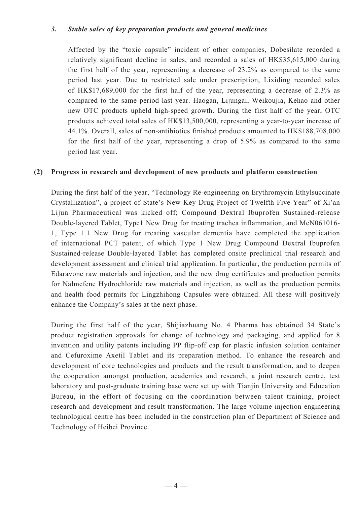## *3. Stable sales of key preparation products and general medicines*

Affected by the "toxic capsule" incident of other companies, Dobesilate recorded a relatively significant decline in sales, and recorded a sales of HK\$35,615,000 during the first half of the year, representing a decrease of 23.2% as compared to the same period last year. Due to restricted sale under prescription, Lixiding recorded sales of HK\$17,689,000 for the first half of the year, representing a decrease of 2.3% as compared to the same period last year. Haogan, Lijungai, Weikoujia, Kehao and other new OTC products upheld high-speed growth. During the first half of the year, OTC products achieved total sales of HK\$13,500,000, representing a year-to-year increase of 44.1%. Overall, sales of non-antibiotics finished products amounted to HK\$188,708,000 for the first half of the year, representing a drop of 5.9% as compared to the same period last year.

### **(2) Progress in research and development of new products and platform construction**

During the first half of the year, "Technology Re-engineering on Erythromycin Ethylsuccinate Crystallization", a project of State's New Key Drug Project of Twelfth Five-Year" of Xi'an Lijun Pharmaceutical was kicked off; Compound Dextral Ibuprofen Sustained-release Double-layered Tablet, Type1 New Drug for treating trachea inflammation, and MeN061016- 1, Type 1.1 New Drug for treating vascular dementia have completed the application of international PCT patent, of which Type 1 New Drug Compound Dextral Ibuprofen Sustained-release Double-layered Tablet has completed onsite preclinical trial research and development assessment and clinical trial application. In particular, the production permits of Edaravone raw materials and injection, and the new drug certificates and production permits for Nalmefene Hydrochloride raw materials and injection, as well as the production permits and health food permits for Lingzhihong Capsules were obtained. All these will positively enhance the Company's sales at the next phase.

During the first half of the year, Shijiazhuang No. 4 Pharma has obtained 34 State's product registration approvals for change of technology and packaging, and applied for 8 invention and utility patents including PP flip-off cap for plastic infusion solution container and Cefuroxime Axetil Tablet and its preparation method. To enhance the research and development of core technologies and products and the result transformation, and to deepen the cooperation amongst production, academics and research, a joint research centre, test laboratory and post-graduate training base were set up with Tianjin University and Education Bureau, in the effort of focusing on the coordination between talent training, project research and development and result transformation. The large volume injection engineering technological centre has been included in the construction plan of Department of Science and Technology of Heibei Province.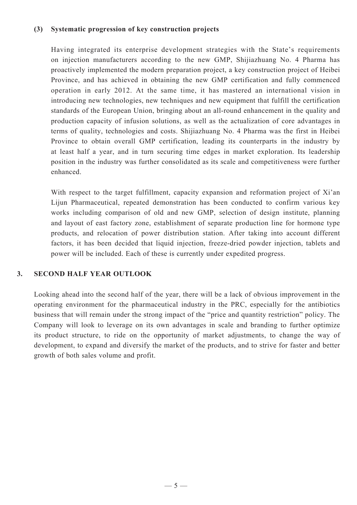### **(3) Systematic progression of key construction projects**

Having integrated its enterprise development strategies with the State's requirements on injection manufacturers according to the new GMP, Shijiazhuang No. 4 Pharma has proactively implemented the modern preparation project, a key construction project of Heibei Province, and has achieved in obtaining the new GMP certification and fully commenced operation in early 2012. At the same time, it has mastered an international vision in introducing new technologies, new techniques and new equipment that fulfill the certification standards of the European Union, bringing about an all-round enhancement in the quality and production capacity of infusion solutions, as well as the actualization of core advantages in terms of quality, technologies and costs. Shijiazhuang No. 4 Pharma was the first in Heibei Province to obtain overall GMP certification, leading its counterparts in the industry by at least half a year, and in turn securing time edges in market exploration. Its leadership position in the industry was further consolidated as its scale and competitiveness were further enhanced.

With respect to the target fulfillment, capacity expansion and reformation project of Xi'an Lijun Pharmaceutical, repeated demonstration has been conducted to confirm various key works including comparison of old and new GMP, selection of design institute, planning and layout of east factory zone, establishment of separate production line for hormone type products, and relocation of power distribution station. After taking into account different factors, it has been decided that liquid injection, freeze-dried powder injection, tablets and power will be included. Each of these is currently under expedited progress.

### **3. Second half year outlook**

Looking ahead into the second half of the year, there will be a lack of obvious improvement in the operating environment for the pharmaceutical industry in the PRC, especially for the antibiotics business that will remain under the strong impact of the "price and quantity restriction" policy. The Company will look to leverage on its own advantages in scale and branding to further optimize its product structure, to ride on the opportunity of market adjustments, to change the way of development, to expand and diversify the market of the products, and to strive for faster and better growth of both sales volume and profit.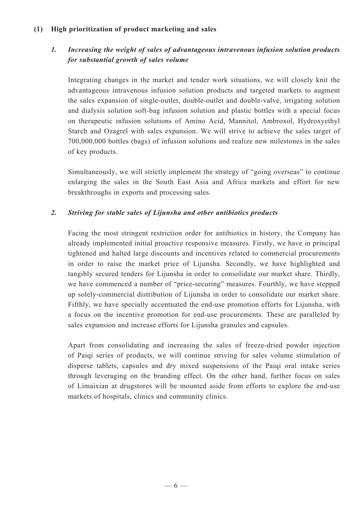## **(1) High prioritization of product marketing and sales**

# *1. Increasing the weight of sales of advantageous intravenous infusion solution products for substantial growth of sales volume*

Integrating changes in the market and tender work situations, we will closely knit the advantageous intravenous infusion solution products and targeted markets to augment the sales expansion of single-outlet, double-outlet and double-valve, irrigating solution and dialysis solution soft-bag infusion solution and plastic bottles with a special focus on therapeutic infusion solutions of Amino Acid, Mannitol, Ambroxol, Hydroxyethyl Starch and Ozagrel with sales expansion. We will strive to achieve the sales target of 700,000,000 bottles (bags) of infusion solutions and realize new milestones in the sales of key products.

Simultaneously, we will strictly implement the strategy of "going overseas" to continue enlarging the sales in the South East Asia and Africa markets and effort for new breakthroughs in exports and processing sales.

## *2. Striving for stable sales of Lijunsha and other antibiotics products*

Facing the most stringent restriction order for antibiotics in history, the Company has already implemented initial proactive responsive measures. Firstly, we have in principal tightened and halted large discounts and incentives related to commercial procurements in order to raise the market price of Lijunsha. Secondly, we have highlighted and tangibly secured tenders for Lijunsha in order to consolidate our market share. Thirdly, we have commenced a number of "price-securing" measures. Fourthly, we have stepped up solely-commercial distribution of Lijunsha in order to consolidate our market share. Fifthly, we have specially accentuated the end-use promotion efforts for Lijunsha, with a focus on the incentive promotion for end-use procurements. These are paralleled by sales expansion and increase efforts for Lijunsha granules and capsules.

Apart from consolidating and increasing the sales of freeze-dried powder injection of Paiqi series of products, we will continue striving for sales volume stimulation of disperse tablets, capsules and dry mixed suspensions of the Paiqi oral intake series through leveraging on the branding effect. On the other hand, further focus on sales of Limaixian at drugstores will be mounted aside from efforts to explore the end-use markets of hospitals, clinics and community clinics.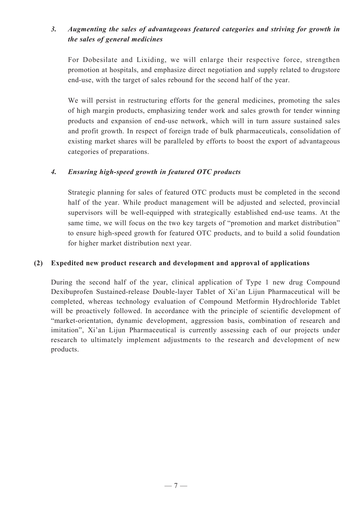# *3. Augmenting the sales of advantageous featured categories and striving for growth in the sales of general medicines*

For Dobesilate and Lixiding, we will enlarge their respective force, strengthen promotion at hospitals, and emphasize direct negotiation and supply related to drugstore end-use, with the target of sales rebound for the second half of the year.

We will persist in restructuring efforts for the general medicines, promoting the sales of high margin products, emphasizing tender work and sales growth for tender winning products and expansion of end-use network, which will in turn assure sustained sales and profit growth. In respect of foreign trade of bulk pharmaceuticals, consolidation of existing market shares will be paralleled by efforts to boost the export of advantageous categories of preparations.

## *4. Ensuring high-speed growth in featured OTC products*

Strategic planning for sales of featured OTC products must be completed in the second half of the year. While product management will be adjusted and selected, provincial supervisors will be well-equipped with strategically established end-use teams. At the same time, we will focus on the two key targets of "promotion and market distribution" to ensure high-speed growth for featured OTC products, and to build a solid foundation for higher market distribution next year.

### **(2) Expedited new product research and development and approval of applications**

During the second half of the year, clinical application of Type 1 new drug Compound Dexibuprofen Sustained-release Double-layer Tablet of Xi'an Lijun Pharmaceutical will be completed, whereas technology evaluation of Compound Metformin Hydrochloride Tablet will be proactively followed. In accordance with the principle of scientific development of "market-orientation, dynamic development, aggression basis, combination of research and imitation", Xi'an Lijun Pharmaceutical is currently assessing each of our projects under research to ultimately implement adjustments to the research and development of new products.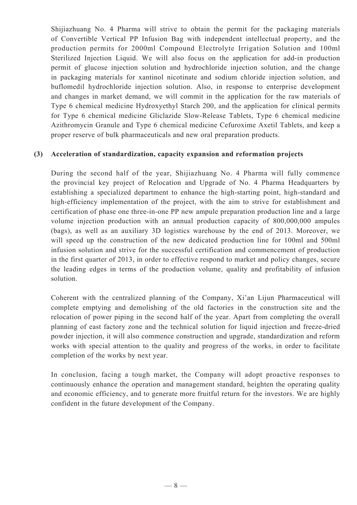Shijiazhuang No. 4 Pharma will strive to obtain the permit for the packaging materials of Convertible Vertical PP Infusion Bag with independent intellectual property, and the production permits for 2000ml Compound Electrolyte Irrigation Solution and 100ml Sterilized Injection Liquid. We will also focus on the application for add-in production permit of glucose injection solution and hydrochloride injection solution, and the change in packaging materials for xantinol nicotinate and sodium chloride injection solution, and buflomedil hydrochloride injection solution. Also, in response to enterprise development and changes in market demand, we will commit in the application for the raw materials of Type 6 chemical medicine Hydroxyethyl Starch 200, and the application for clinical permits for Type 6 chemical medicine Gliclazide Slow-Release Tablets, Type 6 chemical medicine Azithromycin Granule and Type 6 chemical medicine Cefuroxime Axetil Tablets, and keep a proper reserve of bulk pharmaceuticals and new oral preparation products.

### **(3) Acceleration of standardization, capacity expansion and reformation projects**

During the second half of the year, Shijiazhuang No. 4 Pharma will fully commence the provincial key project of Relocation and Upgrade of No. 4 Pharma Headquarters by establishing a specialized department to enhance the high-starting point, high-standard and high-efficiency implementation of the project, with the aim to strive for establishment and certification of phase one three-in-one PP new ampule preparation production line and a large volume injection production with an annual production capacity of 800,000,000 ampules (bags), as well as an auxiliary 3D logistics warehouse by the end of 2013. Moreover, we will speed up the construction of the new dedicated production line for 100ml and 500ml infusion solution and strive for the successful certification and commencement of production in the first quarter of 2013, in order to effective respond to market and policy changes, secure the leading edges in terms of the production volume, quality and profitability of infusion solution.

Coherent with the centralized planning of the Company, Xi'an Lijun Pharmaceutical will complete emptying and demolishing of the old factories in the construction site and the relocation of power piping in the second half of the year. Apart from completing the overall planning of east factory zone and the technical solution for liquid injection and freeze-dried powder injection, it will also commence construction and upgrade, standardization and reform works with special attention to the quality and progress of the works, in order to facilitate completion of the works by next year.

In conclusion, facing a tough market, the Company will adopt proactive responses to continuously enhance the operation and management standard, heighten the operating quality and economic efficiency, and to generate more fruitful return for the investors. We are highly confident in the future development of the Company.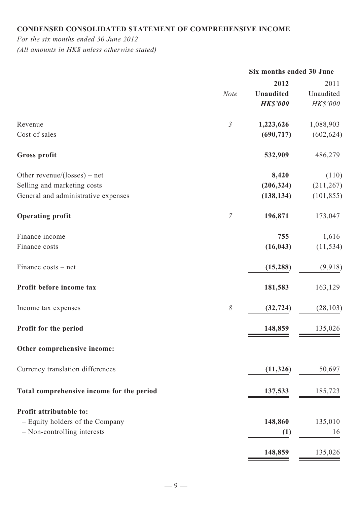# **Condensed consolidated statement of comprehensive income**

*For the six months ended 30 June 2012 (All amounts in HK\$ unless otherwise stated)*

|                                           |                | Six months ended 30 June |            |
|-------------------------------------------|----------------|--------------------------|------------|
|                                           |                | 2012                     | 2011       |
|                                           | <b>Note</b>    | <b>Unaudited</b>         | Unaudited  |
|                                           |                | <b>HK\$'000</b>          | HK\$'000   |
| Revenue                                   | 3              | 1,223,626                | 1,088,903  |
| Cost of sales                             |                | (690, 717)               | (602, 624) |
| <b>Gross profit</b>                       |                | 532,909                  | 486,279    |
| Other revenue/(losses) – net              |                | 8,420                    | (110)      |
| Selling and marketing costs               |                | (206, 324)               | (211, 267) |
| General and administrative expenses       |                | (138, 134)               | (101, 855) |
| <b>Operating profit</b>                   | $\overline{7}$ | 196,871                  | 173,047    |
| Finance income                            |                | 755                      | 1,616      |
| Finance costs                             |                | (16, 043)                | (11, 534)  |
| Finance costs – net                       |                | (15, 288)                | (9, 918)   |
| Profit before income tax                  |                | 181,583                  | 163,129    |
| Income tax expenses                       | $\delta$       | (32, 724)                | (28, 103)  |
| Profit for the period                     |                | 148,859                  | 135,026    |
| Other comprehensive income:               |                |                          |            |
| Currency translation differences          |                | (11, 326)                | 50,697     |
| Total comprehensive income for the period |                | 137,533                  | 185,723    |
| Profit attributable to:                   |                |                          |            |
| - Equity holders of the Company           |                | 148,860                  | 135,010    |
| - Non-controlling interests               |                | (1)                      | 16         |
|                                           |                | 148,859                  | 135,026    |

<u>148,859</u> 135,026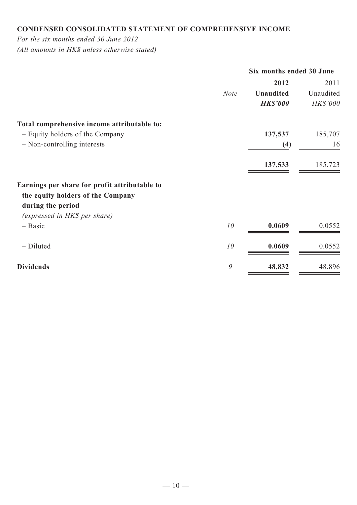# **Condensed consolidated statement of comprehensive income**

*For the six months ended 30 June 2012*

*(All amounts in HK\$ unless otherwise stated)*

|                                               | Six months ended 30 June |                  |           |  |  |
|-----------------------------------------------|--------------------------|------------------|-----------|--|--|
|                                               |                          | 2012             | 2011      |  |  |
|                                               | <b>Note</b>              | <b>Unaudited</b> | Unaudited |  |  |
|                                               |                          | <b>HK\$'000</b>  | HK\$'000  |  |  |
| Total comprehensive income attributable to:   |                          |                  |           |  |  |
| - Equity holders of the Company               |                          | 137,537          | 185,707   |  |  |
| - Non-controlling interests                   |                          | (4)              | 16        |  |  |
|                                               |                          | 137,533          | 185,723   |  |  |
| Earnings per share for profit attributable to |                          |                  |           |  |  |
| the equity holders of the Company             |                          |                  |           |  |  |
| during the period                             |                          |                  |           |  |  |
| (expressed in HK\$ per share)                 |                          |                  |           |  |  |
| $-$ Basic                                     | 10                       | 0.0609           | 0.0552    |  |  |
| - Diluted                                     | 10                       | 0.0609           | 0.0552    |  |  |
| <b>Dividends</b>                              | 9                        | 48,832           | 48,896    |  |  |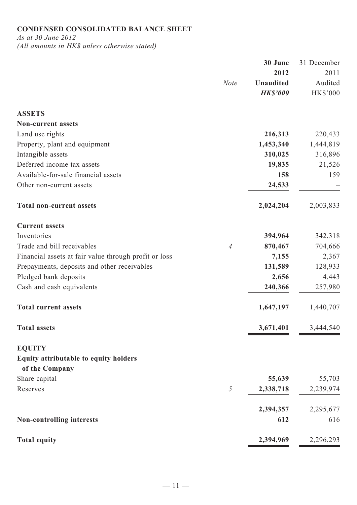# **Condensed consolidated balance sheet**

*As at 30 June 2012*

*(All amounts in HK\$ unless otherwise stated)*

|                                                         |                | 30 June                             | 31 December                |
|---------------------------------------------------------|----------------|-------------------------------------|----------------------------|
|                                                         |                | 2012                                | 2011                       |
|                                                         | <b>Note</b>    | <b>Unaudited</b><br><b>HK\$'000</b> | Audited<br><b>HK\$'000</b> |
| <b>ASSETS</b>                                           |                |                                     |                            |
| <b>Non-current assets</b>                               |                |                                     |                            |
| Land use rights                                         |                | 216,313                             | 220,433                    |
| Property, plant and equipment                           |                | 1,453,340                           | 1,444,819                  |
| Intangible assets                                       |                | 310,025                             | 316,896                    |
| Deferred income tax assets                              |                | 19,835                              | 21,526                     |
| Available-for-sale financial assets                     |                | 158                                 | 159                        |
| Other non-current assets                                |                | 24,533                              |                            |
| <b>Total non-current assets</b>                         |                | 2,024,204                           | 2,003,833                  |
| <b>Current assets</b>                                   |                |                                     |                            |
| Inventories                                             |                | 394,964                             | 342,318                    |
| Trade and bill receivables                              | $\overline{4}$ | 870,467                             | 704,666                    |
| Financial assets at fair value through profit or loss   |                | 7,155                               | 2,367                      |
| Prepayments, deposits and other receivables             |                | 131,589                             | 128,933                    |
| Pledged bank deposits                                   |                | 2,656                               | 4,443                      |
| Cash and cash equivalents                               |                | 240,366                             | 257,980                    |
| <b>Total current assets</b>                             |                | 1,647,197                           | 1,440,707                  |
| <b>Total assets</b>                                     |                | 3,671,401                           | 3,444,540                  |
| <b>EQUITY</b>                                           |                |                                     |                            |
| Equity attributable to equity holders<br>of the Company |                |                                     |                            |
| Share capital                                           |                | 55,639                              | 55,703                     |
| Reserves                                                | 5              | 2,338,718                           | 2,239,974                  |
|                                                         |                | 2,394,357                           | 2,295,677                  |
| <b>Non-controlling interests</b>                        |                | 612                                 | 616                        |
| <b>Total equity</b>                                     |                | 2,394,969                           | 2,296,293                  |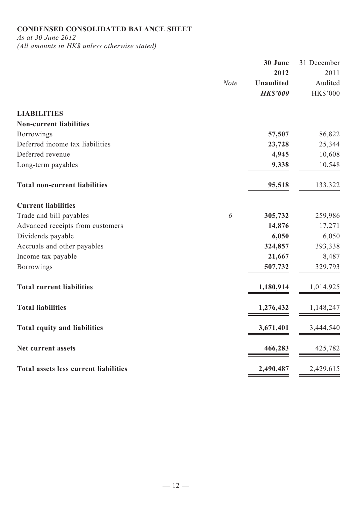# **Condensed consolidated balance sheet**

*As at 30 June 2012 (All amounts in HK\$ unless otherwise stated)*

|                                              | <b>Note</b> | 30 June<br>2012<br><b>Unaudited</b><br><b>HK\$'000</b> | 31 December<br>2011<br>Audited<br>HK\$'000 |
|----------------------------------------------|-------------|--------------------------------------------------------|--------------------------------------------|
| <b>LIABILITIES</b>                           |             |                                                        |                                            |
| <b>Non-current liabilities</b>               |             |                                                        |                                            |
| <b>Borrowings</b>                            |             | 57,507                                                 | 86,822                                     |
| Deferred income tax liabilities              |             | 23,728                                                 | 25,344                                     |
| Deferred revenue                             |             | 4,945                                                  | 10,608                                     |
| Long-term payables                           |             | 9,338                                                  | 10,548                                     |
| <b>Total non-current liabilities</b>         |             | 95,518                                                 | 133,322                                    |
| <b>Current liabilities</b>                   |             |                                                        |                                            |
| Trade and bill payables                      | 6           | 305,732                                                | 259,986                                    |
| Advanced receipts from customers             |             | 14,876                                                 | 17,271                                     |
| Dividends payable                            |             | 6,050                                                  | 6,050                                      |
| Accruals and other payables                  |             | 324,857                                                | 393,338                                    |
| Income tax payable                           |             | 21,667                                                 | 8,487                                      |
| <b>Borrowings</b>                            |             | 507,732                                                | 329,793                                    |
| <b>Total current liabilities</b>             |             | 1,180,914                                              | 1,014,925                                  |
| <b>Total liabilities</b>                     |             | 1,276,432                                              | 1,148,247                                  |
| <b>Total equity and liabilities</b>          |             | 3,671,401                                              | 3,444,540                                  |
| Net current assets                           |             | 466,283                                                | 425,782                                    |
| <b>Total assets less current liabilities</b> |             | 2,490,487                                              | 2,429,615                                  |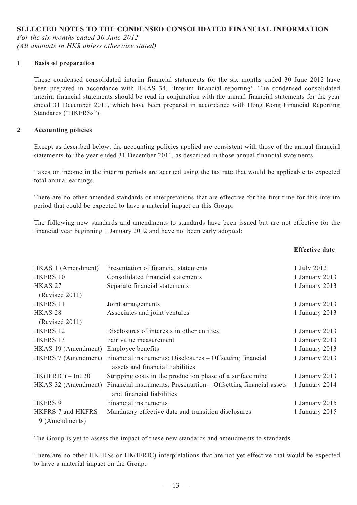## **SELECTED NOTES TO THE CONDENSED CONSOLIDATED FINANCIAL INFORMATION**

*For the six months ended 30 June 2012 (All amounts in HK\$ unless otherwise stated)*

#### **1 Basis of preparation**

These condensed consolidated interim financial statements for the six months ended 30 June 2012 have been prepared in accordance with HKAS 34, 'Interim financial reporting'. The condensed consolidated interim financial statements should be read in conjunction with the annual financial statements for the year ended 31 December 2011, which have been prepared in accordance with Hong Kong Financial Reporting Standards ("HKFRSs").

#### **2 Accounting policies**

Except as described below, the accounting policies applied are consistent with those of the annual financial statements for the year ended 31 December 2011, as described in those annual financial statements.

Taxes on income in the interim periods are accrued using the tax rate that would be applicable to expected total annual earnings.

There are no other amended standards or interpretations that are effective for the first time for this interim period that could be expected to have a material impact on this Group.

The following new standards and amendments to standards have been issued but are not effective for the financial year beginning 1 January 2012 and have not been early adopted:

| HKAS 1 (Amendment)   | Presentation of financial statements                              | 1 July 2012    |
|----------------------|-------------------------------------------------------------------|----------------|
| HKFRS 10             | Consolidated financial statements                                 | 1 January 2013 |
| HKAS <sub>27</sub>   | Separate financial statements                                     | 1 January 2013 |
| (Revised 2011)       |                                                                   |                |
| HKFRS 11             | Joint arrangements                                                | 1 January 2013 |
| HKAS <sub>28</sub>   | Associates and joint ventures                                     | 1 January 2013 |
| (Revised 2011)       |                                                                   |                |
| HKFRS 12             | Disclosures of interests in other entities                        | 1 January 2013 |
| HKFRS 13             | Fair value measurement                                            | 1 January 2013 |
| HKAS 19 (Amendment)  | Employee benefits                                                 | 1 January 2013 |
| HKFRS 7 (Amendment)  | Financial instruments: Disclosures – Offsetting financial         | 1 January 2013 |
|                      | assets and financial liabilities                                  |                |
| $HK(IFRIC) - Int 20$ | Stripping costs in the production phase of a surface mine         | 1 January 2013 |
| HKAS 32 (Amendment)  | Financial instruments: Presentation – Offsetting financial assets | 1 January 2014 |
|                      | and financial liabilities                                         |                |
| <b>HKFRS 9</b>       | Financial instruments                                             | 1 January 2015 |
| HKFRS 7 and HKFRS    | Mandatory effective date and transition disclosures               | 1 January 2015 |
| 9 (Amendments)       |                                                                   |                |

The Group is yet to assess the impact of these new standards and amendments to standards.

There are no other HKFRSs or HK(IFRIC) interpretations that are not yet effective that would be expected to have a material impact on the Group.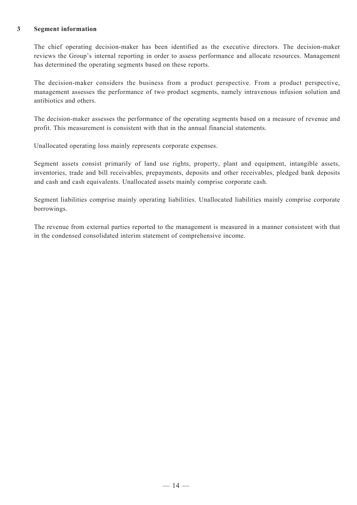#### **3 Segment information**

The chief operating decision-maker has been identified as the executive directors. The decision-maker reviews the Group's internal reporting in order to assess performance and allocate resources. Management has determined the operating segments based on these reports.

The decision-maker considers the business from a product perspective. From a product perspective, management assesses the performance of two product segments, namely intravenous infusion solution and antibiotics and others.

The decision-maker assesses the performance of the operating segments based on a measure of revenue and profit. This measurement is consistent with that in the annual financial statements.

Unallocated operating loss mainly represents corporate expenses.

Segment assets consist primarily of land use rights, property, plant and equipment, intangible assets, inventories, trade and bill receivables, prepayments, deposits and other receivables, pledged bank deposits and cash and cash equivalents. Unallocated assets mainly comprise corporate cash.

Segment liabilities comprise mainly operating liabilities. Unallocated liabilities mainly comprise corporate borrowings.

The revenue from external parties reported to the management is measured in a manner consistent with that in the condensed consolidated interim statement of comprehensive income.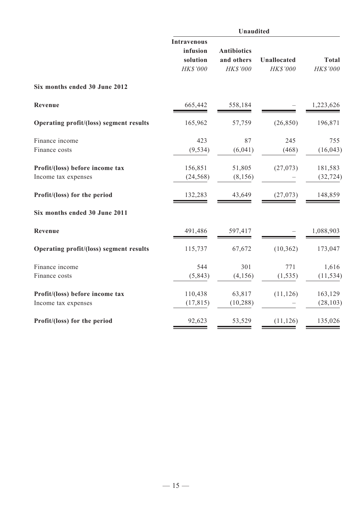|                                                        | <b>Unaudited</b>                                       |                                              |                                |                          |  |  |  |
|--------------------------------------------------------|--------------------------------------------------------|----------------------------------------------|--------------------------------|--------------------------|--|--|--|
|                                                        | <b>Intravenous</b><br>infusion<br>solution<br>HK\$'000 | <b>Antibiotics</b><br>and others<br>HK\$'000 | <b>Unallocated</b><br>HK\$'000 | <b>Total</b><br>HK\$'000 |  |  |  |
| Six months ended 30 June 2012                          |                                                        |                                              |                                |                          |  |  |  |
| Revenue                                                | 665,442                                                | 558,184                                      |                                | 1,223,626                |  |  |  |
| Operating profit/(loss) segment results                | 165,962                                                | 57,759                                       | (26, 850)                      | 196,871                  |  |  |  |
| Finance income<br>Finance costs                        | 423<br>(9, 534)                                        | 87<br>(6,041)                                | 245<br>(468)                   | 755<br>(16, 043)         |  |  |  |
| Profit/(loss) before income tax<br>Income tax expenses | 156,851<br>(24, 568)                                   | 51,805<br>(8, 156)                           | (27, 073)                      | 181,583<br>(32, 724)     |  |  |  |
| Profit/(loss) for the period                           | 132,283                                                | 43,649                                       | (27, 073)                      | 148,859                  |  |  |  |
| Six months ended 30 June 2011                          |                                                        |                                              |                                |                          |  |  |  |
| Revenue                                                | 491,486                                                | 597,417                                      |                                | 1,088,903                |  |  |  |
| Operating profit/(loss) segment results                | 115,737                                                | 67,672                                       | (10, 362)                      | 173,047                  |  |  |  |
| Finance income<br>Finance costs                        | 544<br>(5, 843)                                        | 301<br>(4, 156)                              | 771<br>(1, 535)                | 1,616<br>(11, 534)       |  |  |  |
| Profit/(loss) before income tax<br>Income tax expenses | 110,438<br>(17, 815)                                   | 63,817<br>(10, 288)                          | (11, 126)                      | 163,129<br>(28, 103)     |  |  |  |
| Profit/(loss) for the period                           | 92,623                                                 | 53,529                                       | (11, 126)                      | 135,026                  |  |  |  |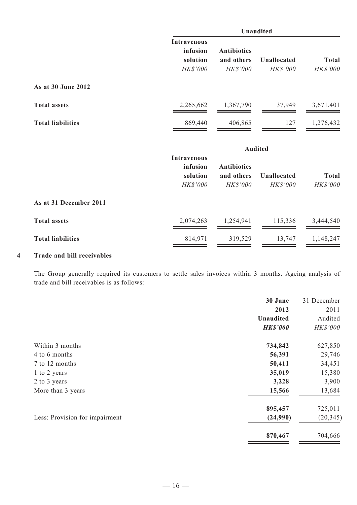|                          |                                                        | <b>Unaudited</b>                             |                                       |                          |  |  |  |
|--------------------------|--------------------------------------------------------|----------------------------------------------|---------------------------------------|--------------------------|--|--|--|
|                          | <b>Intravenous</b><br>infusion<br>solution<br>HK\$'000 | <b>Antibiotics</b><br>and others<br>HK\$'000 | <b>Unallocated</b><br>HK\$'000        | <b>Total</b><br>HK\$'000 |  |  |  |
| As at 30 June 2012       |                                                        |                                              |                                       |                          |  |  |  |
| <b>Total assets</b>      | 2,265,662                                              | 1,367,790                                    | 37,949                                | 3,671,401                |  |  |  |
| <b>Total liabilities</b> | 869,440                                                | 406,865                                      | 127                                   | 1,276,432                |  |  |  |
|                          |                                                        |                                              | <b>Audited</b>                        |                          |  |  |  |
|                          | <b>Intravenous</b><br>infusion<br>solution<br>HK\$'000 | <b>Antibiotics</b><br>and others<br>HK\$'000 | <b>Unallocated</b><br><b>HK\$'000</b> | <b>Total</b><br>HK\$'000 |  |  |  |
| As at 31 December 2011   |                                                        |                                              |                                       |                          |  |  |  |
| <b>Total assets</b>      | 2,074,263                                              | 1,254,941                                    | 115,336                               | 3,444,540                |  |  |  |
| <b>Total liabilities</b> | 814,971                                                | 319,529                                      | 13,747                                | 1,148,247                |  |  |  |

## **4 Trade and bill receivables**

The Group generally required its customers to settle sales invoices within 3 months. Ageing analysis of trade and bill receivables is as follows:

|                                | 30 June          | 31 December     |
|--------------------------------|------------------|-----------------|
|                                | 2012             | 2011            |
|                                | <b>Unaudited</b> | Audited         |
|                                | <b>HK\$'000</b>  | <b>HK\$'000</b> |
| Within 3 months                | 734,842          | 627,850         |
| 4 to 6 months                  | 56,391           | 29,746          |
| 7 to 12 months                 | 50,411           | 34,451          |
| 1 to 2 years                   | 35,019           | 15,380          |
| 2 to 3 years                   | 3,228            | 3,900           |
| More than 3 years              | 15,566           | 13,684          |
|                                | 895,457          | 725,011         |
| Less: Provision for impairment | (24,990)         | (20, 345)       |
|                                | 870,467          | 704,666         |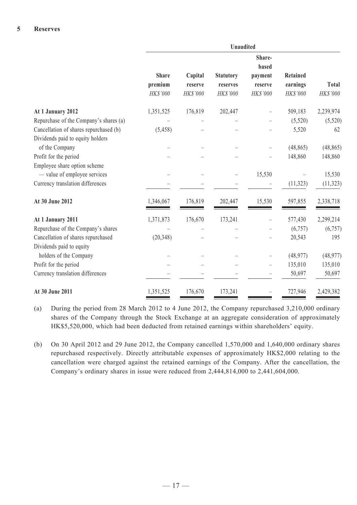|                                        | <b>Unaudited</b> |          |                  |                          |           |              |
|----------------------------------------|------------------|----------|------------------|--------------------------|-----------|--------------|
|                                        |                  |          |                  |                          |           |              |
|                                        | <b>Share</b>     | Capital  | <b>Statutory</b> | payment                  | Retained  |              |
|                                        | premium          | reserve  | reserves         | reserve                  | earnings  | <b>Total</b> |
|                                        | HK\$'000         | HK\$'000 | HK\$'000         | HK\$'000                 | HK\$'000  | HK\$'000     |
| At 1 January 2012                      | 1,351,525        | 176,819  | 202,447          | -                        | 509,183   | 2,239,974    |
| Repurchase of the Company's shares (a) |                  |          |                  |                          | (5,520)   | (5,520)      |
| Cancellation of shares repurchased (b) | (5, 458)         |          |                  |                          | 5,520     | 62           |
| Dividends paid to equity holders       |                  |          |                  |                          |           |              |
| of the Company                         |                  |          |                  |                          | (48, 865) | (48, 865)    |
| Profit for the period                  |                  |          |                  |                          | 148,860   | 148,860      |
| Employee share option scheme           |                  |          |                  |                          |           |              |
| - value of employee services           |                  |          |                  | 15,530                   |           | 15,530       |
| Currency translation differences       |                  |          |                  |                          | (11, 323) | (11, 323)    |
| At 30 June 2012                        | 1,346,067        | 176,819  | 202,447          | 15,530                   | 597,855   | 2,338,718    |
| At 1 January 2011                      | 1,371,873        | 176,670  | 173,241          | $\qquad \qquad -$        | 577,430   | 2,299,214    |
| Repurchase of the Company's shares     |                  |          |                  |                          | (6,757)   | (6,757)      |
| Cancellation of shares repurchased     | (20, 348)        |          |                  |                          | 20,543    | 195          |
| Dividends paid to equity               |                  |          |                  |                          |           |              |
| holders of the Company                 |                  |          |                  |                          | (48, 977) | (48, 977)    |
| Profit for the period                  |                  |          |                  | $\overline{\phantom{0}}$ | 135,010   | 135,010      |
| Currency translation differences       |                  |          |                  |                          | 50,697    | 50,697       |
| At 30 June 2011                        | 1,351,525        | 176,670  | 173,241          |                          | 727,946   | 2,429,382    |

- (a) During the period from 28 March 2012 to 4 June 2012, the Company repurchased 3,210,000 ordinary shares of the Company through the Stock Exchange at an aggregate consideration of approximately HK\$5,520,000, which had been deducted from retained earnings within shareholders' equity.
- (b) On 30 April 2012 and 29 June 2012, the Company cancelled 1,570,000 and 1,640,000 ordinary shares repurchased respectively. Directly attributable expenses of approximately HK\$2,000 relating to the cancellation were charged against the retained earnings of the Company. After the cancellation, the Company's ordinary shares in issue were reduced from 2,444,814,000 to 2,441,604,000.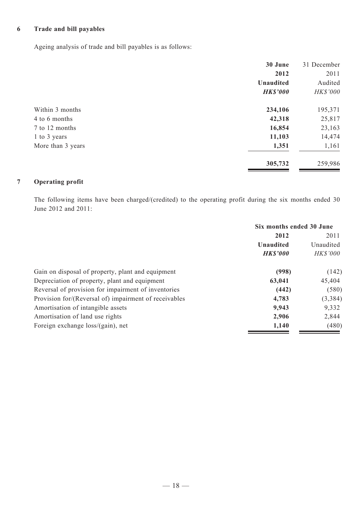# **6 Trade and bill payables**

Ageing analysis of trade and bill payables is as follows:

|                   | 30 June          | 31 December |
|-------------------|------------------|-------------|
|                   | 2012             | 2011        |
|                   | <b>Unaudited</b> | Audited     |
|                   | <b>HK\$'000</b>  | HK\$'000    |
| Within 3 months   | 234,106          | 195,371     |
| 4 to 6 months     | 42,318           | 25,817      |
| 7 to 12 months    | 16,854           | 23,163      |
| 1 to 3 years      | 11,103           | 14,474      |
| More than 3 years | 1,351            | 1,161       |
|                   | 305,732          | 259,986     |

# **7 Operating profit**

The following items have been charged/(credited) to the operating profit during the six months ended 30 June 2012 and 2011:

|                                                       | Six months ended 30 June |                 |
|-------------------------------------------------------|--------------------------|-----------------|
|                                                       | 2012                     | 2011            |
|                                                       | Unaudited                | Unaudited       |
|                                                       | <b>HK\$'000</b>          | <b>HK\$'000</b> |
| Gain on disposal of property, plant and equipment     | (998)                    | (142)           |
| Depreciation of property, plant and equipment         | 63,041                   | 45,404          |
| Reversal of provision for impairment of inventories   | (442)                    | (580)           |
| Provision for/(Reversal of) impairment of receivables | 4,783                    | (3, 384)        |
| Amortisation of intangible assets                     | 9,943                    | 9,332           |
| Amortisation of land use rights                       | 2,906                    | 2,844           |
| Foreign exchange loss/(gain), net                     | 1,140                    | (480)           |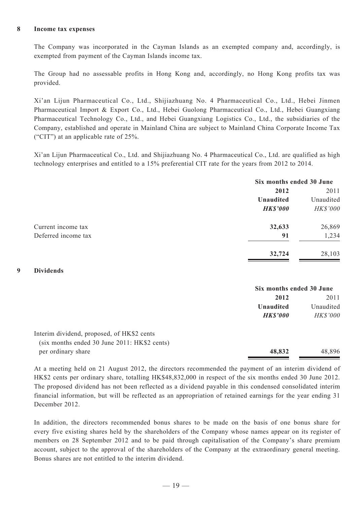#### **8 Income tax expenses**

The Company was incorporated in the Cayman Islands as an exempted company and, accordingly, is exempted from payment of the Cayman Islands income tax.

The Group had no assessable profits in Hong Kong and, accordingly, no Hong Kong profits tax was provided.

Xi'an Lijun Pharmaceutical Co., Ltd., Shijiazhuang No. 4 Pharmaceutical Co., Ltd., Hebei Jinmen Pharmaceutical Import & Export Co., Ltd., Hebei Guolong Pharmaceutical Co., Ltd., Hebei Guangxiang Pharmaceutical Technology Co., Ltd., and Hebei Guangxiang Logistics Co., Ltd., the subsidiaries of the Company, established and operate in Mainland China are subject to Mainland China Corporate Income Tax ("CIT") at an applicable rate of 25%.

Xi'an Lijun Pharmaceutical Co., Ltd. and Shijiazhuang No. 4 Pharmaceutical Co., Ltd. are qualified as high technology enterprises and entitled to a 15% preferential CIT rate for the years from 2012 to 2014.

|                     |                  | Six months ended 30 June |  |
|---------------------|------------------|--------------------------|--|
|                     | 2012             | 2011                     |  |
|                     | <b>Unaudited</b> | Unaudited                |  |
|                     | <b>HK\$'000</b>  | HK\$'000                 |  |
| Current income tax  | 32,633           | 26,869                   |  |
| Deferred income tax | 91               | 1,234                    |  |
|                     | 32,724           | 28,103                   |  |

#### **9 Dividends**

|                                              | Six months ended 30 June |                 |
|----------------------------------------------|--------------------------|-----------------|
|                                              | 2012                     | 2011            |
|                                              | Unaudited                | Unaudited       |
|                                              | <b>HK\$'000</b>          | <b>HK\$'000</b> |
| Interim dividend, proposed, of HK\$2 cents   |                          |                 |
| (six months ended 30 June 2011: HK\$2 cents) |                          |                 |
| per ordinary share                           | 48,832                   | 48,896          |

At a meeting held on 21 August 2012, the directors recommended the payment of an interim dividend of HK\$2 cents per ordinary share, totalling HK\$48,832,000 in respect of the six months ended 30 June 2012. The proposed dividend has not been reflected as a dividend payable in this condensed consolidated interim financial information, but will be reflected as an appropriation of retained earnings for the year ending 31 December 2012.

In addition, the directors recommended bonus shares to be made on the basis of one bonus share for every five existing shares held by the shareholders of the Company whose names appear on its register of members on 28 September 2012 and to be paid through capitalisation of the Company's share premium account, subject to the approval of the shareholders of the Company at the extraordinary general meeting. Bonus shares are not entitled to the interim dividend.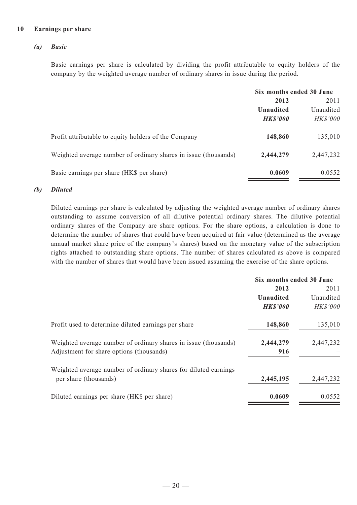#### **10 Earnings per share**

#### *(a) Basic*

Basic earnings per share is calculated by dividing the profit attributable to equity holders of the company by the weighted average number of ordinary shares in issue during the period.

|                                                                 | Six months ended 30 June |                 |
|-----------------------------------------------------------------|--------------------------|-----------------|
|                                                                 | 2012                     | 2011            |
|                                                                 | Unaudited                | Unaudited       |
|                                                                 | <b>HK\$'000</b>          | <b>HK\$'000</b> |
| Profit attributable to equity holders of the Company            | 148,860                  | 135,010         |
| Weighted average number of ordinary shares in issue (thousands) | 2,444,279                | 2,447,232       |
| Basic earnings per share (HK\$ per share)                       | 0.0609                   | 0.0552          |

#### *(b) Diluted*

Diluted earnings per share is calculated by adjusting the weighted average number of ordinary shares outstanding to assume conversion of all dilutive potential ordinary shares. The dilutive potential ordinary shares of the Company are share options. For the share options, a calculation is done to determine the number of shares that could have been acquired at fair value (determined as the average annual market share price of the company's shares) based on the monetary value of the subscription rights attached to outstanding share options. The number of shares calculated as above is compared with the number of shares that would have been issued assuming the exercise of the share options.

|                                                                 | Six months ended 30 June |                 |
|-----------------------------------------------------------------|--------------------------|-----------------|
|                                                                 | 2012                     | 2011            |
|                                                                 | <b>Unaudited</b>         | Unaudited       |
|                                                                 | <b>HKS'000</b>           | <b>HK\$'000</b> |
| Profit used to determine diluted earnings per share             | 148,860                  | 135,010         |
| Weighted average number of ordinary shares in issue (thousands) | 2,444,279                | 2,447,232       |
| Adjustment for share options (thousands)                        | 916                      |                 |
| Weighted average number of ordinary shares for diluted earnings |                          |                 |
| per share (thousands)                                           | 2,445,195                | 2,447,232       |
| Diluted earnings per share (HK\$ per share)                     | 0.0609                   | 0.0552          |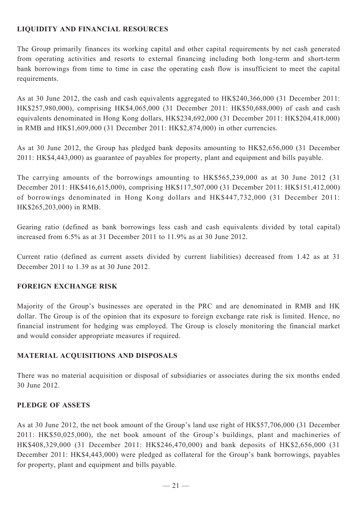# **LIQUIDITY AND FINANCIAL RESOURCES**

The Group primarily finances its working capital and other capital requirements by net cash generated from operating activities and resorts to external financing including both long-term and short-term bank borrowings from time to time in case the operating cash flow is insufficient to meet the capital requirements.

As at 30 June 2012, the cash and cash equivalents aggregated to HK\$240,366,000 (31 December 2011: HK\$257,980,000), comprising HK\$4,065,000 (31 December 2011: HK\$50,688,000) of cash and cash equivalents denominated in Hong Kong dollars, HK\$234,692,000 (31 December 2011: HK\$204,418,000) in RMB and HK\$1,609,000 (31 December 2011: HK\$2,874,000) in other currencies.

As at 30 June 2012, the Group has pledged bank deposits amounting to HK\$2,656,000 (31 December 2011: HK\$4,443,000) as guarantee of payables for property, plant and equipment and bills payable.

The carrying amounts of the borrowings amounting to HK\$565,239,000 as at 30 June 2012 (31 December 2011: HK\$416,615,000), comprising HK\$117,507,000 (31 December 2011: HK\$151,412,000) of borrowings denominated in Hong Kong dollars and HK\$447,732,000 (31 December 2011: HK\$265,203,000) in RMB.

Gearing ratio (defined as bank borrowings less cash and cash equivalents divided by total capital) increased from 6.5% as at 31 December 2011 to 11.9% as at 30 June 2012.

Current ratio (defined as current assets divided by current liabilities) decreased from 1.42 as at 31 December 2011 to 1.39 as at 30 June 2012.

# **FOREIGN EXCHANGE RISK**

Majority of the Group's businesses are operated in the PRC and are denominated in RMB and HK dollar. The Group is of the opinion that its exposure to foreign exchange rate risk is limited. Hence, no financial instrument for hedging was employed. The Group is closely monitoring the financial market and would consider appropriate measures if required.

# **MATERIAL ACQUISITIONS AND DISPOSALS**

There was no material acquisition or disposal of subsidiaries or associates during the six months ended 30 June 2012.

# **PLEDGE OF ASSETS**

As at 30 June 2012, the net book amount of the Group's land use right of HK\$57,706,000 (31 December 2011: HK\$50,025,000), the net book amount of the Group's buildings, plant and machineries of HK\$408,329,000 (31 December 2011: HK\$246,470,000) and bank deposits of HK\$2,656,000 (31 December 2011: HK\$4,443,000) were pledged as collateral for the Group's bank borrowings, payables for property, plant and equipment and bills payable.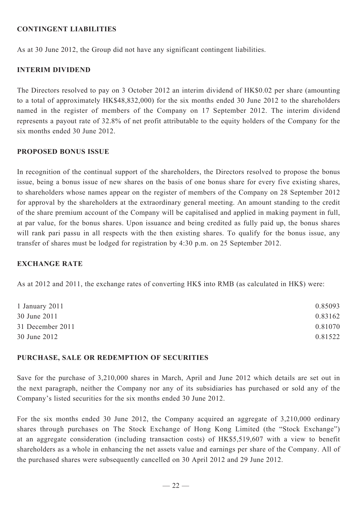## **CONTINGENT LIABILITIES**

As at 30 June 2012, the Group did not have any significant contingent liabilities.

## **INTERIM DIVIDEND**

The Directors resolved to pay on 3 October 2012 an interim dividend of HK\$0.02 per share (amounting to a total of approximately HK\$48,832,000) for the six months ended 30 June 2012 to the shareholders named in the register of members of the Company on 17 September 2012. The interim dividend represents a payout rate of 32.8% of net profit attributable to the equity holders of the Company for the six months ended 30 June 2012.

### **PROPOSED BONUS ISSUE**

In recognition of the continual support of the shareholders, the Directors resolved to propose the bonus issue, being a bonus issue of new shares on the basis of one bonus share for every five existing shares, to shareholders whose names appear on the register of members of the Company on 28 September 2012 for approval by the shareholders at the extraordinary general meeting. An amount standing to the credit of the share premium account of the Company will be capitalised and applied in making payment in full, at par value, for the bonus shares. Upon issuance and being credited as fully paid up, the bonus shares will rank pari passu in all respects with the then existing shares. To qualify for the bonus issue, any transfer of shares must be lodged for registration by 4:30 p.m. on 25 September 2012.

### **EXCHANGE RATE**

As at 2012 and 2011, the exchange rates of converting HK\$ into RMB (as calculated in HK\$) were:

| 0.85093 |
|---------|
| 0.83162 |
| 0.81070 |
| 0.81522 |
|         |

### **PURCHASE, SALE OR REDEMPTION OF SECURITIES**

Save for the purchase of 3,210,000 shares in March, April and June 2012 which details are set out in the next paragraph, neither the Company nor any of its subsidiaries has purchased or sold any of the Company's listed securities for the six months ended 30 June 2012.

For the six months ended 30 June 2012, the Company acquired an aggregate of 3,210,000 ordinary shares through purchases on The Stock Exchange of Hong Kong Limited (the "Stock Exchange") at an aggregate consideration (including transaction costs) of HK\$5,519,607 with a view to benefit shareholders as a whole in enhancing the net assets value and earnings per share of the Company. All of the purchased shares were subsequently cancelled on 30 April 2012 and 29 June 2012.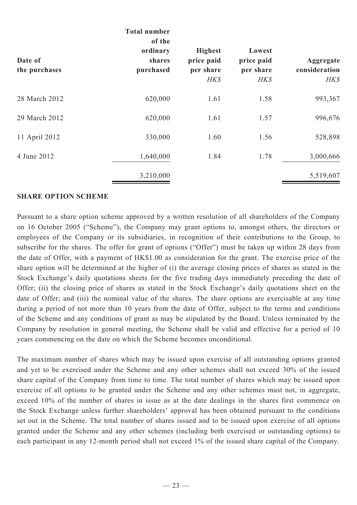| Date of<br>the purchases | <b>Total number</b><br>of the<br>ordinary<br>shares<br>purchased | <b>Highest</b><br>price paid<br>per share<br>HK\$ | Lowest<br>price paid<br>per share<br>HK\$ | Aggregate<br>consideration<br>H K S |
|--------------------------|------------------------------------------------------------------|---------------------------------------------------|-------------------------------------------|-------------------------------------|
| 28 March 2012            | 620,000                                                          | 1.61                                              | 1.58                                      | 993,367                             |
| 29 March 2012            | 620,000                                                          | 1.61                                              | 1.57                                      | 996,676                             |
| 11 April 2012            | 330,000                                                          | 1.60                                              | 1.56                                      | 528,898                             |
| 4 June 2012              | 1,640,000                                                        | 1.84                                              | 1.78                                      | 3,000,666                           |
|                          | 3,210,000                                                        |                                                   |                                           | 5,519,607                           |

#### **SHARE OPTION SCHEME**

Pursuant to a share option scheme approved by a written resolution of all shareholders of the Company on 16 October 2005 ("Scheme"), the Company may grant options to, amongst others, the directors or employees of the Company or its subsidiaries, in recognition of their contributions to the Group, to subscribe for the shares. The offer for grant of options ("Offer") must be taken up within 28 days from the date of Offer, with a payment of HK\$1.00 as consideration for the grant. The exercise price of the share option will be determined at the higher of (i) the average closing prices of shares as stated in the Stock Exchange's daily quotations sheets for the five trading days immediately preceding the date of Offer; (ii) the closing price of shares as stated in the Stock Exchange's daily quotations sheet on the date of Offer; and (iii) the nominal value of the shares. The share options are exercisable at any time during a period of not more than 10 years from the date of Offer, subject to the terms and conditions of the Scheme and any conditions of grant as may be stipulated by the Board. Unless terminated by the Company by resolution in general meeting, the Scheme shall be valid and effective for a period of 10 years commencing on the date on which the Scheme becomes unconditional.

The maximum number of shares which may be issued upon exercise of all outstanding options granted and yet to be exercised under the Scheme and any other schemes shall not exceed 30% of the issued share capital of the Company from time to time. The total number of shares which may be issued upon exercise of all options to be granted under the Scheme and any other schemes must not, in aggregate, exceed 10% of the number of shares in issue as at the date dealings in the shares first commence on the Stock Exchange unless further shareholders' approval has been obtained pursuant to the conditions set out in the Scheme. The total number of shares issued and to be issued upon exercise of all options granted under the Scheme and any other schemes (including both exercised or outstanding options) to each participant in any 12-month period shall not exceed 1% of the issued share capital of the Company.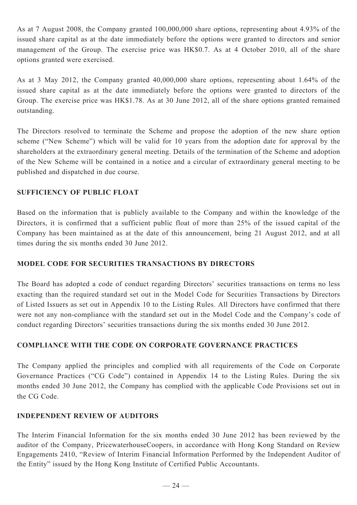As at 7 August 2008, the Company granted 100,000,000 share options, representing about 4.93% of the issued share capital as at the date immediately before the options were granted to directors and senior management of the Group. The exercise price was HK\$0.7. As at 4 October 2010, all of the share options granted were exercised.

As at 3 May 2012, the Company granted 40,000,000 share options, representing about 1.64% of the issued share capital as at the date immediately before the options were granted to directors of the Group. The exercise price was HK\$1.78. As at 30 June 2012, all of the share options granted remained outstanding.

The Directors resolved to terminate the Scheme and propose the adoption of the new share option scheme ("New Scheme") which will be valid for 10 years from the adoption date for approval by the shareholders at the extraordinary general meeting. Details of the termination of the Scheme and adoption of the New Scheme will be contained in a notice and a circular of extraordinary general meeting to be published and dispatched in due course.

## **SUFFICIENCY OF PUBLIC FLOAT**

Based on the information that is publicly available to the Company and within the knowledge of the Directors, it is confirmed that a sufficient public float of more than 25% of the issued capital of the Company has been maintained as at the date of this announcement, being 21 August 2012, and at all times during the six months ended 30 June 2012.

# **MODEL CODE FOR SECURITIES TRANSACTIONS BY DIRECTORS**

The Board has adopted a code of conduct regarding Directors' securities transactions on terms no less exacting than the required standard set out in the Model Code for Securities Transactions by Directors of Listed Issuers as set out in Appendix 10 to the Listing Rules. All Directors have confirmed that there were not any non-compliance with the standard set out in the Model Code and the Company's code of conduct regarding Directors' securities transactions during the six months ended 30 June 2012.

# **COMPLIANCE WITH THE CODE ON CORPORATE GOVERNANCE PRACTICES**

The Company applied the principles and complied with all requirements of the Code on Corporate Governance Practices ("CG Code") contained in Appendix 14 to the Listing Rules. During the six months ended 30 June 2012, the Company has complied with the applicable Code Provisions set out in the CG Code.

# **INDEPENDENT REVIEW OF AUDITORS**

The Interim Financial Information for the six months ended 30 June 2012 has been reviewed by the auditor of the Company, PricewaterhouseCoopers, in accordance with Hong Kong Standard on Review Engagements 2410, "Review of Interim Financial Information Performed by the Independent Auditor of the Entity" issued by the Hong Kong Institute of Certified Public Accountants.